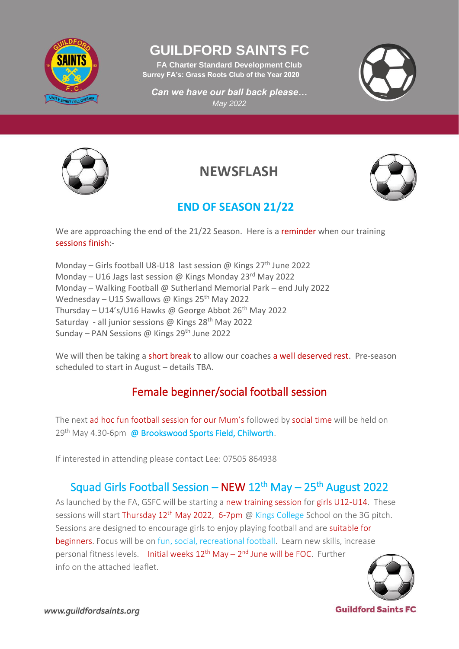

# **GUILDFORD SAINTS FC**

**FA Charter Standard Development Club Surrey FA's: Grass Roots Club of the Year 2020**

*Can we have our ball back please… May 2022*





**NEWSFLASH**



## **END OF SEASON 21/22**

We are approaching the end of the 21/22 Season. Here is a reminder when our training sessions finish:-

Monday – Girls football U8-U18 last session @ Kings  $27<sup>th</sup>$  June 2022 Monday – U16 Jags last session @ Kings Monday 23<sup>rd</sup> May 2022 Monday – Walking Football @ Sutherland Memorial Park – end July 2022 Wednesday – U15 Swallows @ Kings 25<sup>th</sup> May 2022 Thursday – U14's/U16 Hawks @ George Abbot  $26<sup>th</sup>$  May 2022 Saturday - all junior sessions @ Kings 28<sup>th</sup> May 2022 Sunday – PAN Sessions @ Kings 29<sup>th</sup> June 2022

We will then be taking a short break to allow our coaches a well deserved rest. Pre-season scheduled to start in August – details TBA.

## Female beginner/social football session

The next ad hoc fun football session for our Mum's followed by social time will be held on 29<sup>th</sup> May 4.30-6pm @ Brookswood Sports Field, Chilworth.

If interested in attending please contact Lee: 07505 864938

## Squad Girls Football Session – NEW 12<sup>th</sup> May – 25<sup>th</sup> August 2022

As launched by the FA, GSFC will be starting a new training session for girls U12-U14. These sessions will start Thursday 12<sup>th</sup> May 2022, 6-7pm @ Kings College School on the 3G pitch. Sessions are designed to encourage girls to enjoy playing football and are suitable for beginners. Focus will be on fun, social, recreational football. Learn new skills, increase personal fitness levels. Initial weeks 12<sup>th</sup> May – 2<sup>nd</sup> June will be FOC. Further info on the attached leaflet.



**Guildford Saints FC**